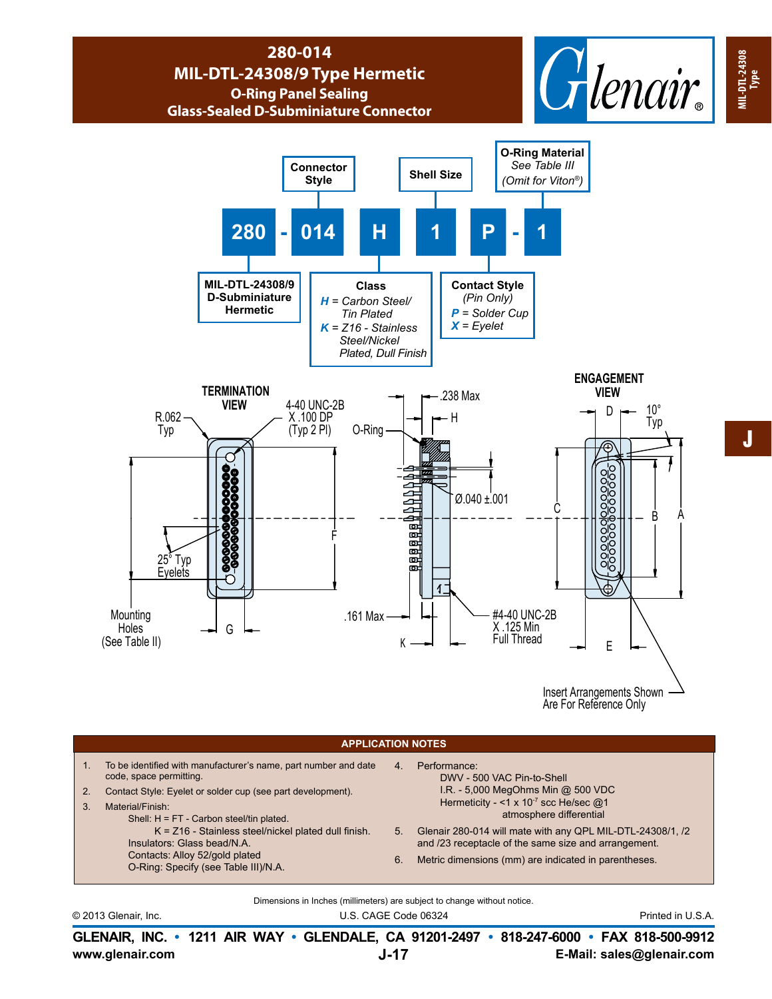## **280-014 MIL-DTL-24308/9 Type Hermetic O-Ring Panel Sealing Glass-Sealed D-Subminiature Connector**





Insert Arrangements Shown Are For Reference Only

## **APPLICATION NOTES**

1. To be identified with manufacturer's name, part number and date code, space permitting. 2. Contact Style: Eyelet or solder cup (see part development). 3. Material/Finish: Shell: H = FT - Carbon steel/tin plated. K = Z16 - Stainless steel/nickel plated dull finish. Insulators: Glass bead/N.A. Contacts: Alloy 52/gold plated O-Ring: Specify (see Table III)/N.A. 4. Performance: DWV - 500 VAC Pin-to-Shell I.R. - 5,000 MegOhms Min @ 500 VDC Hermeticity - <1 x  $10^{-7}$  scc He/sec  $@1$  atmosphere differential 5. Glenair 280-014 will mate with any QPL MIL-DTL-24308/1, /2 and /23 receptacle of the same size and arrangement. 6. Metric dimensions (mm) are indicated in parentheses.

Dimensions in Inches (millimeters) are subject to change without notice.

© 2013 Glenair, Inc. U.S. CAGE Code 06324 Printed in U.S.A.

**www.glenair.com E-Mail: sales@glenair.com GLENAIR, INC. • 1211 AIR WAY • GLENDALE, CA 91201-2497 • 818-247-6000 • FAX 818-500-9912 J-17**

**MIL-DTL-24308**

**MIL-DTL-24308 MIL-DTL-24308**<br>Type